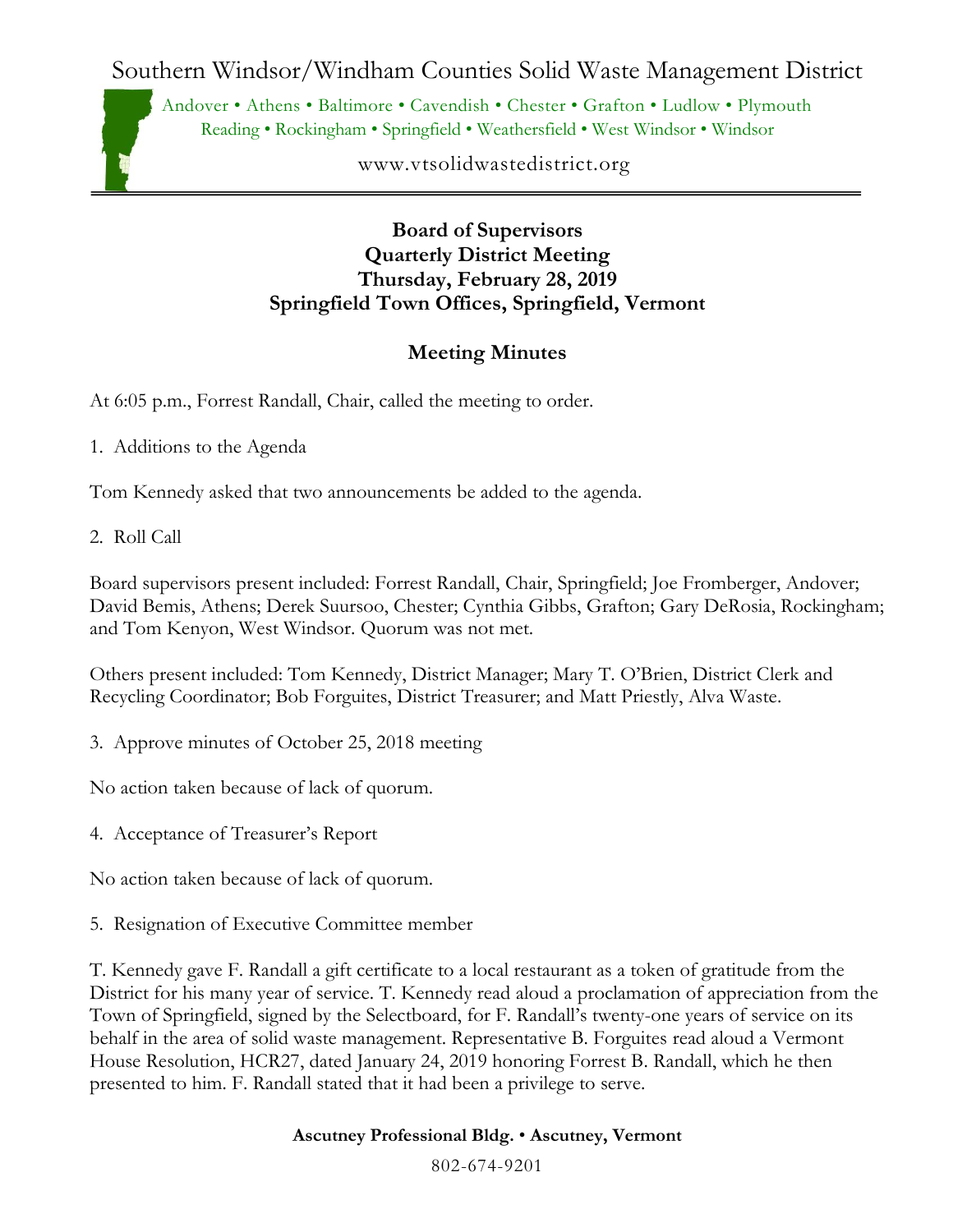Southern Windsor/Windham Counties Solid Waste Management District

Andover • Athens • Baltimore • Cavendish • Chester • Grafton • Ludlow • Plymouth Reading • Rockingham • Springfield • Weathersfield • West Windsor • Windsor

www.vtsolidwastedistrict.org

## **Board of Supervisors Quarterly District Meeting Thursday, February 28, 2019 Springfield Town Offices, Springfield, Vermont**

## **Meeting Minutes**

At 6:05 p.m., Forrest Randall, Chair, called the meeting to order.

- 1. Additions to the Agenda
- Tom Kennedy asked that two announcements be added to the agenda.
- 2. Roll Call

Board supervisors present included: Forrest Randall, Chair, Springfield; Joe Fromberger, Andover; David Bemis, Athens; Derek Suursoo, Chester; Cynthia Gibbs, Grafton; Gary DeRosia, Rockingham; and Tom Kenyon, West Windsor. Quorum was not met.

Others present included: Tom Kennedy, District Manager; Mary T. O'Brien, District Clerk and Recycling Coordinator; Bob Forguites, District Treasurer; and Matt Priestly, Alva Waste.

3. Approve minutes of October 25, 2018 meeting

No action taken because of lack of quorum.

4. Acceptance of Treasurer's Report

No action taken because of lack of quorum.

5. Resignation of Executive Committee member

T. Kennedy gave F. Randall a gift certificate to a local restaurant as a token of gratitude from the District for his many year of service. T. Kennedy read aloud a proclamation of appreciation from the Town of Springfield, signed by the Selectboard, for F. Randall's twenty-one years of service on its behalf in the area of solid waste management. Representative B. Forguites read aloud a Vermont House Resolution, HCR27, dated January 24, 2019 honoring Forrest B. Randall, which he then presented to him. F. Randall stated that it had been a privilege to serve.

## **Ascutney Professional Bldg.** • **Ascutney, Vermont**

802-674-9201